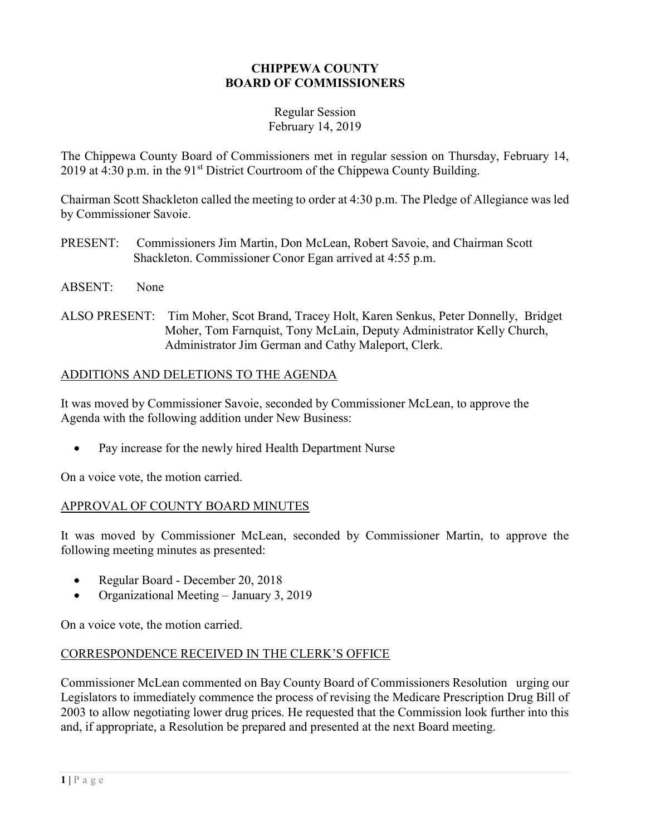#### CHIPPEWA COUNTY BOARD OF COMMISSIONERS

#### Regular Session February 14, 2019

The Chippewa County Board of Commissioners met in regular session on Thursday, February 14, 2019 at 4:30 p.m. in the  $91<sup>st</sup>$  District Courtroom of the Chippewa County Building.

Chairman Scott Shackleton called the meeting to order at 4:30 p.m. The Pledge of Allegiance was led by Commissioner Savoie.

- PRESENT: Commissioners Jim Martin, Don McLean, Robert Savoie, and Chairman Scott Shackleton. Commissioner Conor Egan arrived at 4:55 p.m.
- ABSENT: None
- ALSO PRESENT: Tim Moher, Scot Brand, Tracey Holt, Karen Senkus, Peter Donnelly, Bridget Moher, Tom Farnquist, Tony McLain, Deputy Administrator Kelly Church, Administrator Jim German and Cathy Maleport, Clerk.

## ADDITIONS AND DELETIONS TO THE AGENDA

It was moved by Commissioner Savoie, seconded by Commissioner McLean, to approve the Agenda with the following addition under New Business:

Pay increase for the newly hired Health Department Nurse

On a voice vote, the motion carried.

## APPROVAL OF COUNTY BOARD MINUTES

It was moved by Commissioner McLean, seconded by Commissioner Martin, to approve the following meeting minutes as presented:

- Regular Board December 20, 2018
- Organizational Meeting January 3, 2019

On a voice vote, the motion carried.

## CORRESPONDENCE RECEIVED IN THE CLERK'S OFFICE

Commissioner McLean commented on Bay County Board of Commissioners Resolution urging our Legislators to immediately commence the process of revising the Medicare Prescription Drug Bill of 2003 to allow negotiating lower drug prices. He requested that the Commission look further into this and, if appropriate, a Resolution be prepared and presented at the next Board meeting.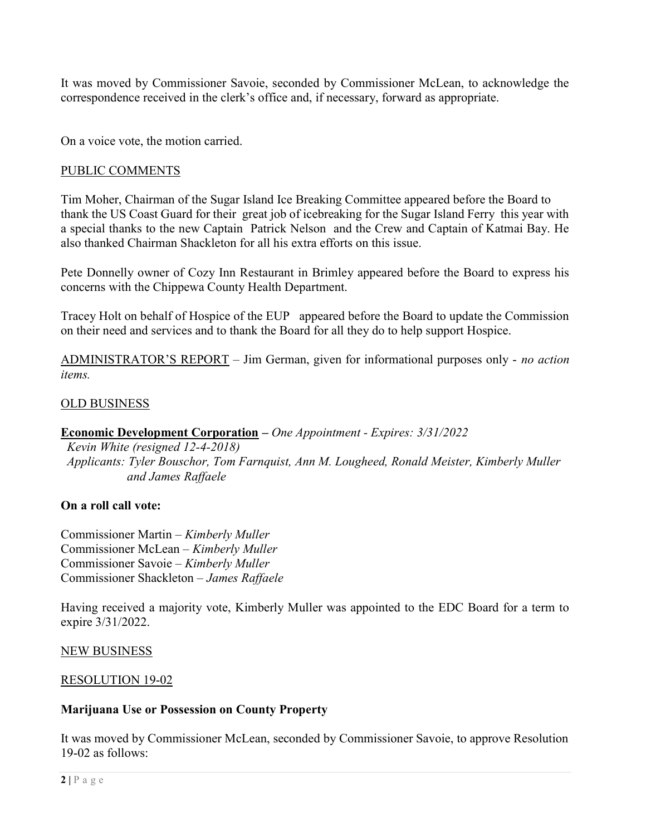It was moved by Commissioner Savoie, seconded by Commissioner McLean, to acknowledge the correspondence received in the clerk's office and, if necessary, forward as appropriate.

On a voice vote, the motion carried.

#### PUBLIC COMMENTS

Tim Moher, Chairman of the Sugar Island Ice Breaking Committee appeared before the Board to thank the US Coast Guard for their great job of icebreaking for the Sugar Island Ferry this year with a special thanks to the new Captain Patrick Nelson and the Crew and Captain of Katmai Bay. He also thanked Chairman Shackleton for all his extra efforts on this issue.

Pete Donnelly owner of Cozy Inn Restaurant in Brimley appeared before the Board to express his concerns with the Chippewa County Health Department.

Tracey Holt on behalf of Hospice of the EUP appeared before the Board to update the Commission on their need and services and to thank the Board for all they do to help support Hospice.

ADMINISTRATOR'S REPORT – Jim German, given for informational purposes only - no action items.

## OLD BUSINESS

## Economic Development Corporation – One Appointment - Expires: 3/31/2022

 Kevin White (resigned 12-4-2018) Applicants: Tyler Bouschor, Tom Farnquist, Ann M. Lougheed, Ronald Meister, Kimberly Muller and James Raffaele

#### On a roll call vote:

Commissioner Martin – Kimberly Muller Commissioner McLean – Kimberly Muller Commissioner Savoie – Kimberly Muller Commissioner Shackleton – James Raffaele

Having received a majority vote, Kimberly Muller was appointed to the EDC Board for a term to expire 3/31/2022.

NEW BUSINESS

#### RESOLUTION 19-02

#### Marijuana Use or Possession on County Property

It was moved by Commissioner McLean, seconded by Commissioner Savoie, to approve Resolution 19-02 as follows: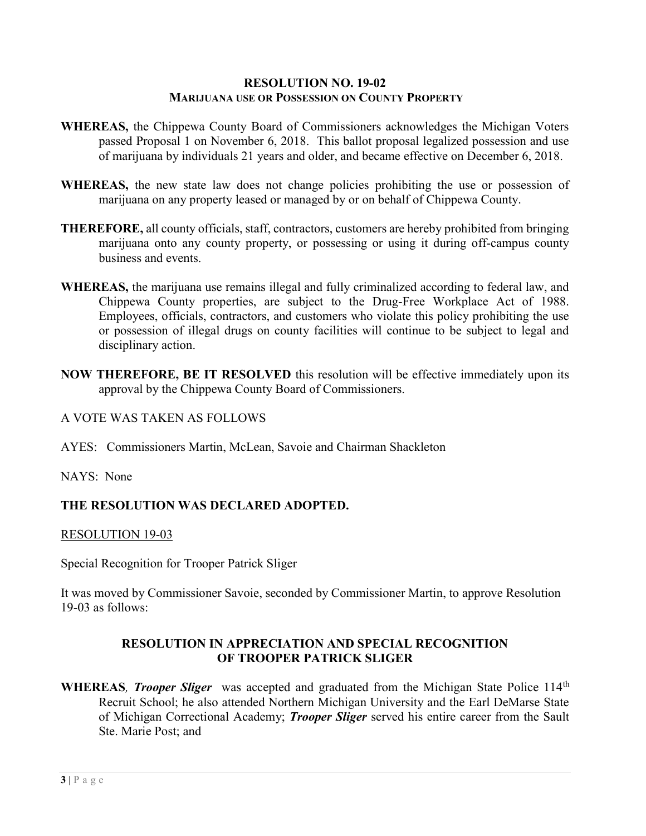#### RESOLUTION NO. 19-02 MARIJUANA USE OR POSSESSION ON COUNTY PROPERTY

- WHEREAS, the Chippewa County Board of Commissioners acknowledges the Michigan Voters passed Proposal 1 on November 6, 2018. This ballot proposal legalized possession and use of marijuana by individuals 21 years and older, and became effective on December 6, 2018.
- WHEREAS, the new state law does not change policies prohibiting the use or possession of marijuana on any property leased or managed by or on behalf of Chippewa County.
- THEREFORE, all county officials, staff, contractors, customers are hereby prohibited from bringing marijuana onto any county property, or possessing or using it during off-campus county business and events.
- WHEREAS, the marijuana use remains illegal and fully criminalized according to federal law, and Chippewa County properties, are subject to the Drug-Free Workplace Act of 1988. Employees, officials, contractors, and customers who violate this policy prohibiting the use or possession of illegal drugs on county facilities will continue to be subject to legal and disciplinary action.
- NOW THEREFORE, BE IT RESOLVED this resolution will be effective immediately upon its approval by the Chippewa County Board of Commissioners.

#### A VOTE WAS TAKEN AS FOLLOWS

AYES: Commissioners Martin, McLean, Savoie and Chairman Shackleton

NAYS: None

## THE RESOLUTION WAS DECLARED ADOPTED.

#### RESOLUTION 19-03

Special Recognition for Trooper Patrick Sliger

It was moved by Commissioner Savoie, seconded by Commissioner Martin, to approve Resolution 19-03 as follows:

## RESOLUTION IN APPRECIATION AND SPECIAL RECOGNITION OF TROOPER PATRICK SLIGER

WHEREAS, Trooper Sliger was accepted and graduated from the Michigan State Police 114<sup>th</sup> Recruit School; he also attended Northern Michigan University and the Earl DeMarse State of Michigan Correctional Academy; *Trooper Sliger* served his entire career from the Sault Ste. Marie Post; and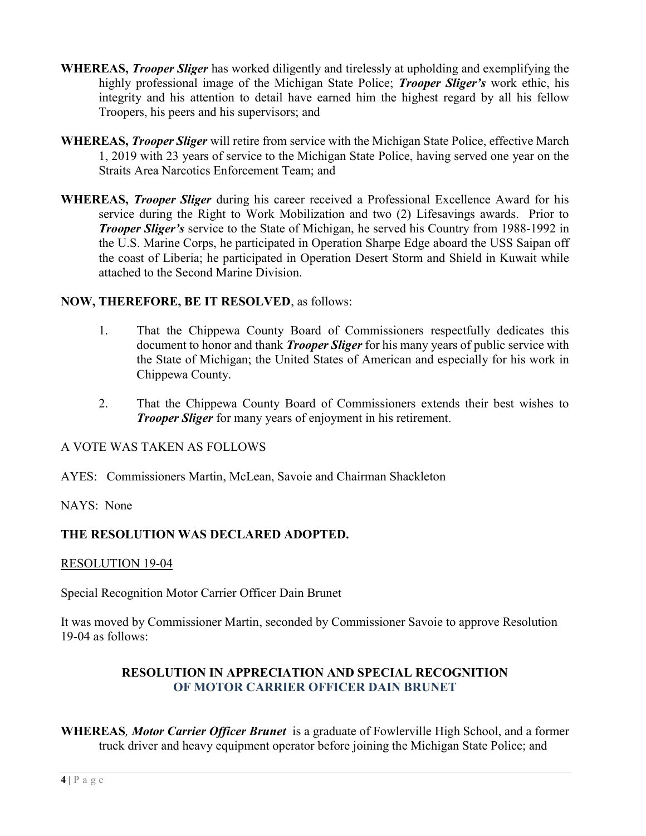- WHEREAS, *Trooper Sliger* has worked diligently and tirelessly at upholding and exemplifying the highly professional image of the Michigan State Police; *Trooper Sliger's* work ethic, his integrity and his attention to detail have earned him the highest regard by all his fellow Troopers, his peers and his supervisors; and
- WHEREAS, *Trooper Sliger* will retire from service with the Michigan State Police, effective March 1, 2019 with 23 years of service to the Michigan State Police, having served one year on the Straits Area Narcotics Enforcement Team; and
- WHEREAS, *Trooper Sliger* during his career received a Professional Excellence Award for his service during the Right to Work Mobilization and two (2) Lifesavings awards. Prior to **Trooper Sliger's** service to the State of Michigan, he served his Country from 1988-1992 in the U.S. Marine Corps, he participated in Operation Sharpe Edge aboard the USS Saipan off the coast of Liberia; he participated in Operation Desert Storm and Shield in Kuwait while attached to the Second Marine Division.

## NOW, THEREFORE, BE IT RESOLVED, as follows:

- 1. That the Chippewa County Board of Commissioners respectfully dedicates this document to honor and thank *Trooper Sliger* for his many years of public service with the State of Michigan; the United States of American and especially for his work in Chippewa County.
- 2. That the Chippewa County Board of Commissioners extends their best wishes to **Trooper Sliger** for many years of enjoyment in his retirement.

## A VOTE WAS TAKEN AS FOLLOWS

- AYES: Commissioners Martin, McLean, Savoie and Chairman Shackleton
- NAYS: None

# THE RESOLUTION WAS DECLARED ADOPTED.

## RESOLUTION 19-04

Special Recognition Motor Carrier Officer Dain Brunet

It was moved by Commissioner Martin, seconded by Commissioner Savoie to approve Resolution 19-04 as follows:

## RESOLUTION IN APPRECIATION AND SPECIAL RECOGNITION OF MOTOR CARRIER OFFICER DAIN BRUNET

WHEREAS, Motor Carrier Officer Brunet is a graduate of Fowlerville High School, and a former truck driver and heavy equipment operator before joining the Michigan State Police; and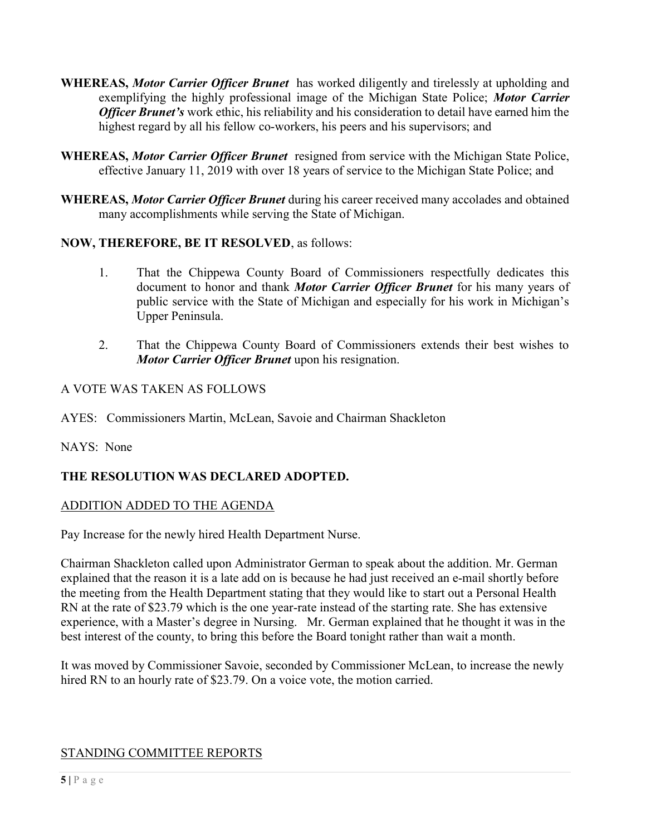- WHEREAS, *Motor Carrier Officer Brunet* has worked diligently and tirelessly at upholding and exemplifying the highly professional image of the Michigan State Police; Motor Carrier **Officer Brunet's** work ethic, his reliability and his consideration to detail have earned him the highest regard by all his fellow co-workers, his peers and his supervisors; and
- WHEREAS, Motor Carrier Officer Brunet resigned from service with the Michigan State Police, effective January 11, 2019 with over 18 years of service to the Michigan State Police; and
- WHEREAS, Motor Carrier Officer Brunet during his career received many accolades and obtained many accomplishments while serving the State of Michigan.

## NOW, THEREFORE, BE IT RESOLVED, as follows:

- 1. That the Chippewa County Board of Commissioners respectfully dedicates this document to honor and thank Motor Carrier Officer Brunet for his many years of public service with the State of Michigan and especially for his work in Michigan's Upper Peninsula.
- 2. That the Chippewa County Board of Commissioners extends their best wishes to Motor Carrier Officer Brunet upon his resignation.

## A VOTE WAS TAKEN AS FOLLOWS

AYES: Commissioners Martin, McLean, Savoie and Chairman Shackleton

# NAYS: None

# THE RESOLUTION WAS DECLARED ADOPTED.

## ADDITION ADDED TO THE AGENDA

Pay Increase for the newly hired Health Department Nurse.

Chairman Shackleton called upon Administrator German to speak about the addition. Mr. German explained that the reason it is a late add on is because he had just received an e-mail shortly before the meeting from the Health Department stating that they would like to start out a Personal Health RN at the rate of \$23.79 which is the one year-rate instead of the starting rate. She has extensive experience, with a Master's degree in Nursing. Mr. German explained that he thought it was in the best interest of the county, to bring this before the Board tonight rather than wait a month.

It was moved by Commissioner Savoie, seconded by Commissioner McLean, to increase the newly hired RN to an hourly rate of \$23.79. On a voice vote, the motion carried.

# STANDING COMMITTEE REPORTS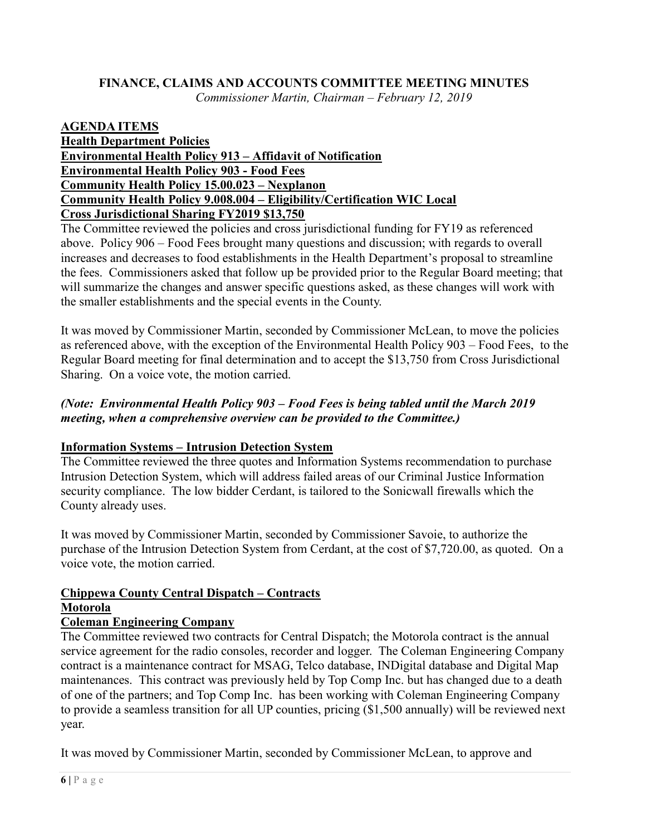#### FINANCE, CLAIMS AND ACCOUNTS COMMITTEE MEETING MINUTES Commissioner Martin, Chairman – February 12, 2019

#### AGENDA ITEMS Health Department Policies Environmental Health Policy 913 – Affidavit of Notification Environmental Health Policy 903 - Food Fees Community Health Policy 15.00.023 – Nexplanon Community Health Policy 9.008.004 – Eligibility/Certification WIC Local Cross Jurisdictional Sharing FY2019 \$13,750

The Committee reviewed the policies and cross jurisdictional funding for FY19 as referenced above. Policy 906 – Food Fees brought many questions and discussion; with regards to overall increases and decreases to food establishments in the Health Department's proposal to streamline the fees. Commissioners asked that follow up be provided prior to the Regular Board meeting; that will summarize the changes and answer specific questions asked, as these changes will work with the smaller establishments and the special events in the County.

It was moved by Commissioner Martin, seconded by Commissioner McLean, to move the policies as referenced above, with the exception of the Environmental Health Policy 903 – Food Fees, to the Regular Board meeting for final determination and to accept the \$13,750 from Cross Jurisdictional Sharing. On a voice vote, the motion carried.

## (Note: Environmental Health Policy 903 – Food Fees is being tabled until the March 2019 meeting, when a comprehensive overview can be provided to the Committee.)

# Information Systems – Intrusion Detection System

The Committee reviewed the three quotes and Information Systems recommendation to purchase Intrusion Detection System, which will address failed areas of our Criminal Justice Information security compliance. The low bidder Cerdant, is tailored to the Sonicwall firewalls which the County already uses.

It was moved by Commissioner Martin, seconded by Commissioner Savoie, to authorize the purchase of the Intrusion Detection System from Cerdant, at the cost of \$7,720.00, as quoted. On a voice vote, the motion carried.

# Chippewa County Central Dispatch – Contracts Motorola

# Coleman Engineering Company

The Committee reviewed two contracts for Central Dispatch; the Motorola contract is the annual service agreement for the radio consoles, recorder and logger. The Coleman Engineering Company contract is a maintenance contract for MSAG, Telco database, INDigital database and Digital Map maintenances. This contract was previously held by Top Comp Inc. but has changed due to a death of one of the partners; and Top Comp Inc. has been working with Coleman Engineering Company to provide a seamless transition for all UP counties, pricing (\$1,500 annually) will be reviewed next year.

It was moved by Commissioner Martin, seconded by Commissioner McLean, to approve and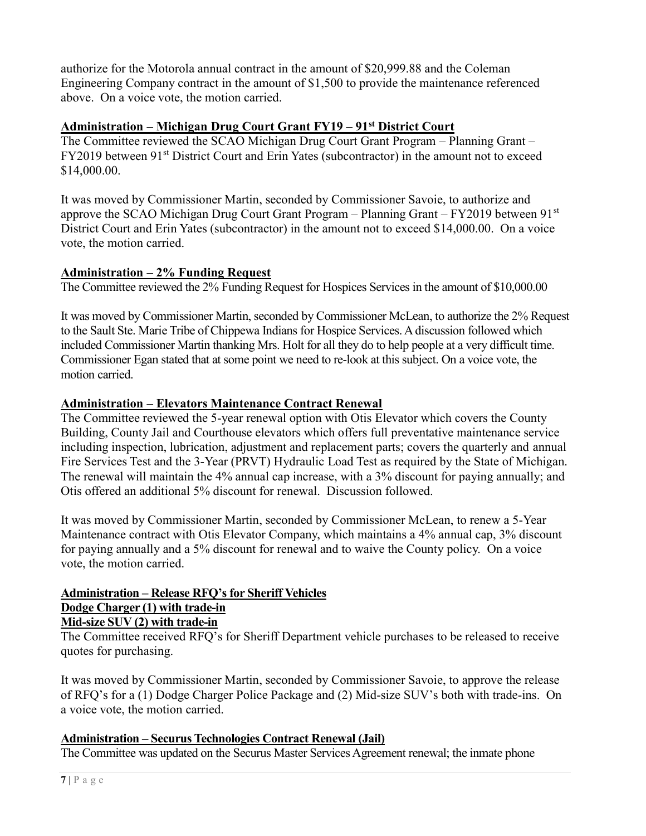authorize for the Motorola annual contract in the amount of \$20,999.88 and the Coleman Engineering Company contract in the amount of \$1,500 to provide the maintenance referenced above. On a voice vote, the motion carried.

## Administration – Michigan Drug Court Grant FY19 – 91<sup>st</sup> District Court

The Committee reviewed the SCAO Michigan Drug Court Grant Program – Planning Grant – FY2019 between 91<sup>st</sup> District Court and Erin Yates (subcontractor) in the amount not to exceed \$14,000.00.

It was moved by Commissioner Martin, seconded by Commissioner Savoie, to authorize and approve the SCAO Michigan Drug Court Grant Program – Planning Grant –  $FY2019$  between  $91<sup>st</sup>$ District Court and Erin Yates (subcontractor) in the amount not to exceed \$14,000.00. On a voice vote, the motion carried.

## Administration - 2% Funding Request

The Committee reviewed the 2% Funding Request for Hospices Services in the amount of \$10,000.00

It was moved by Commissioner Martin, seconded by Commissioner McLean, to authorize the 2% Request to the Sault Ste. Marie Tribe of Chippewa Indians for Hospice Services. A discussion followed which included Commissioner Martin thanking Mrs. Holt for all they do to help people at a very difficult time. Commissioner Egan stated that at some point we need to re-look at this subject. On a voice vote, the motion carried.

# Administration – Elevators Maintenance Contract Renewal

The Committee reviewed the 5-year renewal option with Otis Elevator which covers the County Building, County Jail and Courthouse elevators which offers full preventative maintenance service including inspection, lubrication, adjustment and replacement parts; covers the quarterly and annual Fire Services Test and the 3-Year (PRVT) Hydraulic Load Test as required by the State of Michigan. The renewal will maintain the 4% annual cap increase, with a 3% discount for paying annually; and Otis offered an additional 5% discount for renewal. Discussion followed.

It was moved by Commissioner Martin, seconded by Commissioner McLean, to renew a 5-Year Maintenance contract with Otis Elevator Company, which maintains a 4% annual cap, 3% discount for paying annually and a 5% discount for renewal and to waive the County policy. On a voice vote, the motion carried.

## Administration – Release RFQ's for Sheriff Vehicles Dodge Charger (1) with trade-in

# Mid-size SUV (2) with trade-in

The Committee received RFQ's for Sheriff Department vehicle purchases to be released to receive quotes for purchasing.

It was moved by Commissioner Martin, seconded by Commissioner Savoie, to approve the release of RFQ's for a (1) Dodge Charger Police Package and (2) Mid-size SUV's both with trade-ins. On a voice vote, the motion carried.

## Administration – Securus Technologies Contract Renewal (Jail)

The Committee was updated on the Securus Master Services Agreement renewal; the inmate phone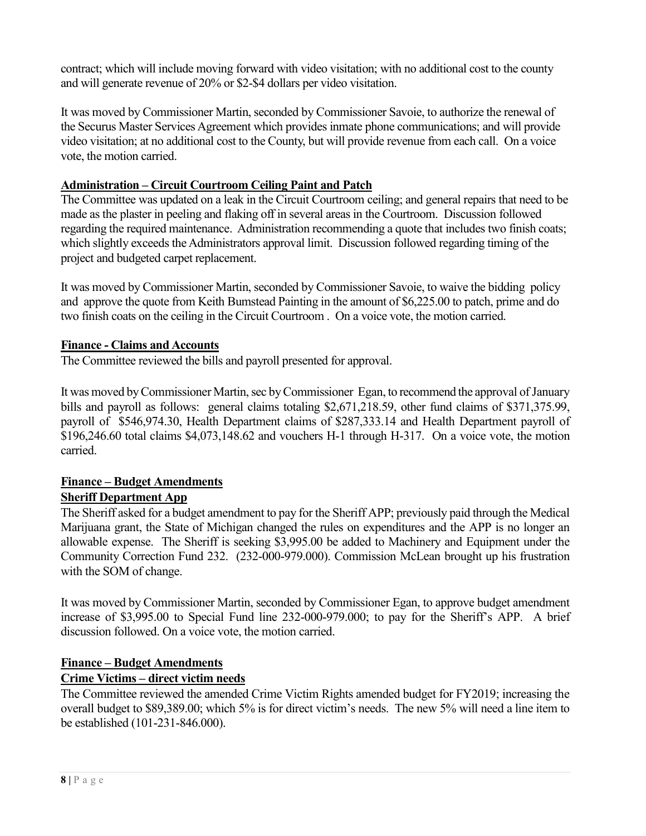contract; which will include moving forward with video visitation; with no additional cost to the county and will generate revenue of 20% or \$2-\$4 dollars per video visitation.

It was moved by Commissioner Martin, seconded by Commissioner Savoie, to authorize the renewal of the Securus Master Services Agreement which provides inmate phone communications; and will provide video visitation; at no additional cost to the County, but will provide revenue from each call. On a voice vote, the motion carried.

## Administration – Circuit Courtroom Ceiling Paint and Patch

The Committee was updated on a leak in the Circuit Courtroom ceiling; and general repairs that need to be made as the plaster in peeling and flaking off in several areas in the Courtroom. Discussion followed regarding the required maintenance. Administration recommending a quote that includes two finish coats; which slightly exceeds the Administrators approval limit. Discussion followed regarding timing of the project and budgeted carpet replacement.

It was moved by Commissioner Martin, seconded by Commissioner Savoie, to waive the bidding policy and approve the quote from Keith Bumstead Painting in the amount of \$6,225.00 to patch, prime and do two finish coats on the ceiling in the Circuit Courtroom . On a voice vote, the motion carried.

## Finance - Claims and Accounts

The Committee reviewed the bills and payroll presented for approval.

It was moved by Commissioner Martin, sec by Commissioner Egan, to recommend the approval of January bills and payroll as follows: general claims totaling \$2,671,218.59, other fund claims of \$371,375.99, payroll of \$546,974.30, Health Department claims of \$287,333.14 and Health Department payroll of \$196,246.60 total claims \$4,073,148.62 and vouchers H-1 through H-317. On a voice vote, the motion carried.

# Finance – Budget Amendments

# Sheriff Department App

The Sheriff asked for a budget amendment to pay for the Sheriff APP; previously paid through the Medical Marijuana grant, the State of Michigan changed the rules on expenditures and the APP is no longer an allowable expense. The Sheriff is seeking \$3,995.00 be added to Machinery and Equipment under the Community Correction Fund 232. (232-000-979.000). Commission McLean brought up his frustration with the SOM of change.

It was moved by Commissioner Martin, seconded by Commissioner Egan, to approve budget amendment increase of \$3,995.00 to Special Fund line 232-000-979.000; to pay for the Sheriff's APP. A brief discussion followed. On a voice vote, the motion carried.

## Finance – Budget Amendments

# Crime Victims – direct victim needs

The Committee reviewed the amended Crime Victim Rights amended budget for FY2019; increasing the overall budget to \$89,389.00; which 5% is for direct victim's needs. The new 5% will need a line item to be established (101-231-846.000).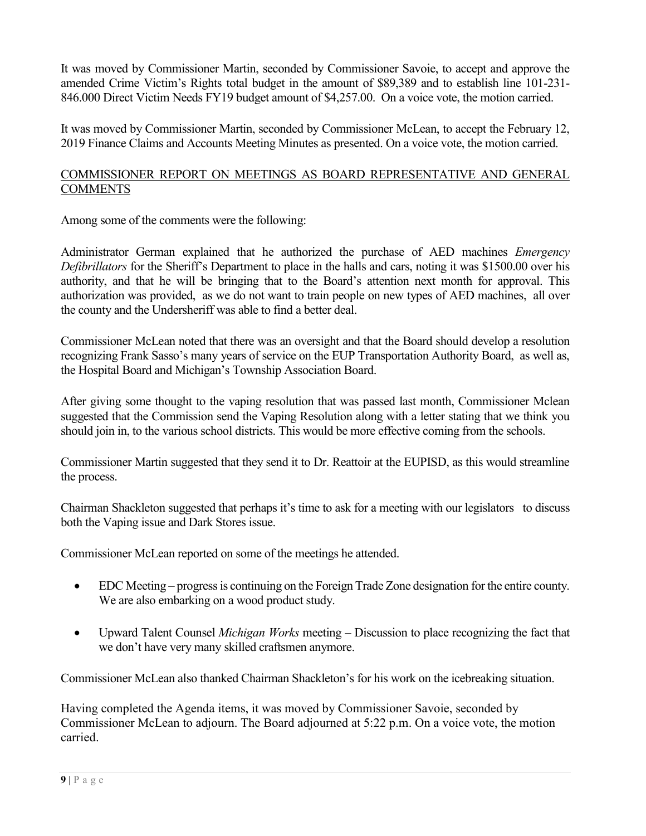It was moved by Commissioner Martin, seconded by Commissioner Savoie, to accept and approve the amended Crime Victim's Rights total budget in the amount of \$89,389 and to establish line 101-231- 846.000 Direct Victim Needs FY19 budget amount of \$4,257.00. On a voice vote, the motion carried.

It was moved by Commissioner Martin, seconded by Commissioner McLean, to accept the February 12, 2019 Finance Claims and Accounts Meeting Minutes as presented. On a voice vote, the motion carried.

#### COMMISSIONER REPORT ON MEETINGS AS BOARD REPRESENTATIVE AND GENERAL **COMMENTS**

Among some of the comments were the following:

Administrator German explained that he authorized the purchase of AED machines Emergency Defibrillators for the Sheriff's Department to place in the halls and cars, noting it was \$1500.00 over his authority, and that he will be bringing that to the Board's attention next month for approval. This authorization was provided, as we do not want to train people on new types of AED machines, all over the county and the Undersheriff was able to find a better deal.

Commissioner McLean noted that there was an oversight and that the Board should develop a resolution recognizing Frank Sasso's many years of service on the EUP Transportation Authority Board, as well as, the Hospital Board and Michigan's Township Association Board.

After giving some thought to the vaping resolution that was passed last month, Commissioner Mclean suggested that the Commission send the Vaping Resolution along with a letter stating that we think you should join in, to the various school districts. This would be more effective coming from the schools.

Commissioner Martin suggested that they send it to Dr. Reattoir at the EUPISD, as this would streamline the process.

Chairman Shackleton suggested that perhaps it's time to ask for a meeting with our legislators to discuss both the Vaping issue and Dark Stores issue.

Commissioner McLean reported on some of the meetings he attended.

- EDC Meeting progress is continuing on the Foreign Trade Zone designation for the entire county. We are also embarking on a wood product study.
- Upward Talent Counsel Michigan Works meeting Discussion to place recognizing the fact that we don't have very many skilled craftsmen anymore.

Commissioner McLean also thanked Chairman Shackleton's for his work on the icebreaking situation.

Having completed the Agenda items, it was moved by Commissioner Savoie, seconded by Commissioner McLean to adjourn. The Board adjourned at 5:22 p.m. On a voice vote, the motion carried.